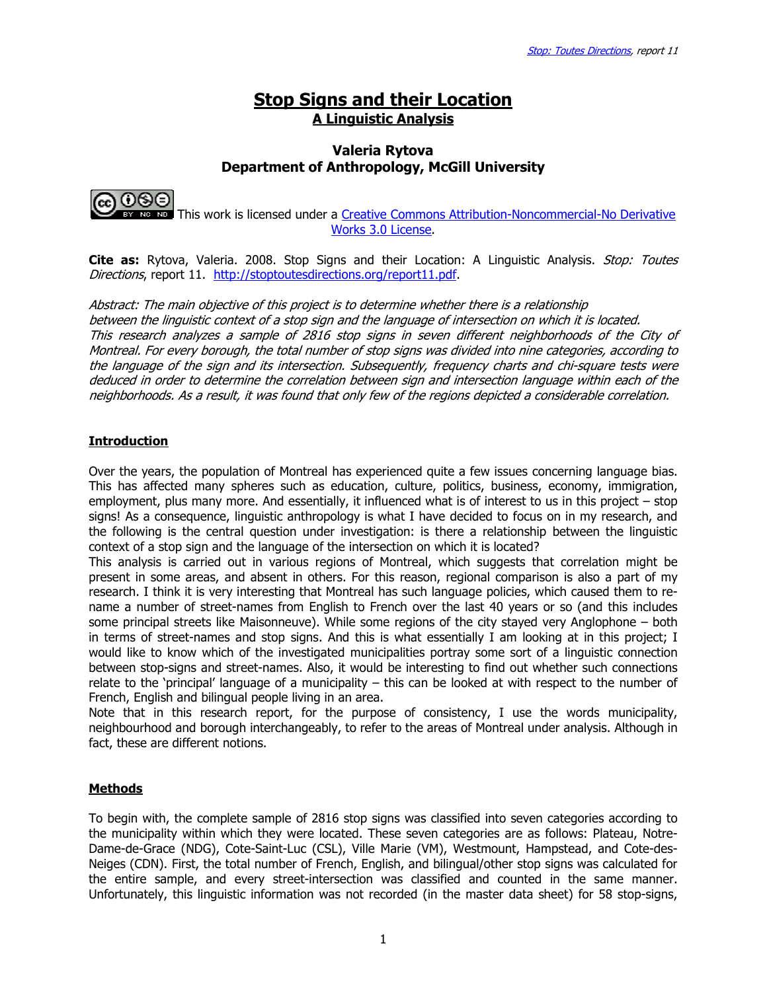# Stop Signs and their Location A Linguistic Analysis

### Valeria Rytova Department of Anthropology, McGill University



 This work is licensed under a Creative Commons Attribution-Noncommercial-No Derivative Works 3.0 License.

**Cite as:** Rytova, Valeria. 2008. Stop Signs and their Location: A Linguistic Analysis. *Stop: Toutes* Directions, report 11. http://stoptoutesdirections.org/report11.pdf.

Abstract: The main objective of this project is to determine whether there is a relationship between the linguistic context of a stop sign and the language of intersection on which it is located. This research analyzes a sample of 2816 stop signs in seven different neighborhoods of the City of Montreal. For every borough, the total number of stop signs was divided into nine categories, according to the language of the sign and its intersection. Subsequently, frequency charts and chi-square tests were deduced in order to determine the correlation between sign and intersection language within each of the neighborhoods. As a result, it was found that only few of the regions depicted a considerable correlation.

## **Introduction**

Over the years, the population of Montreal has experienced quite a few issues concerning language bias. This has affected many spheres such as education, culture, politics, business, economy, immigration, employment, plus many more. And essentially, it influenced what is of interest to us in this project – stop signs! As a consequence, linguistic anthropology is what I have decided to focus on in my research, and the following is the central question under investigation: is there a relationship between the linguistic context of a stop sign and the language of the intersection on which it is located?

This analysis is carried out in various regions of Montreal, which suggests that correlation might be present in some areas, and absent in others. For this reason, regional comparison is also a part of my research. I think it is very interesting that Montreal has such language policies, which caused them to rename a number of street-names from English to French over the last 40 years or so (and this includes some principal streets like Maisonneuve). While some regions of the city stayed very Anglophone – both in terms of street-names and stop signs. And this is what essentially I am looking at in this project; I would like to know which of the investigated municipalities portray some sort of a linguistic connection between stop-signs and street-names. Also, it would be interesting to find out whether such connections relate to the 'principal' language of a municipality – this can be looked at with respect to the number of French, English and bilingual people living in an area.

Note that in this research report, for the purpose of consistency, I use the words municipality, neighbourhood and borough interchangeably, to refer to the areas of Montreal under analysis. Although in fact, these are different notions.

### **Methods**

To begin with, the complete sample of 2816 stop signs was classified into seven categories according to the municipality within which they were located. These seven categories are as follows: Plateau, Notre-Dame-de-Grace (NDG), Cote-Saint-Luc (CSL), Ville Marie (VM), Westmount, Hampstead, and Cote-des-Neiges (CDN). First, the total number of French, English, and bilingual/other stop signs was calculated for the entire sample, and every street-intersection was classified and counted in the same manner. Unfortunately, this linguistic information was not recorded (in the master data sheet) for 58 stop-signs,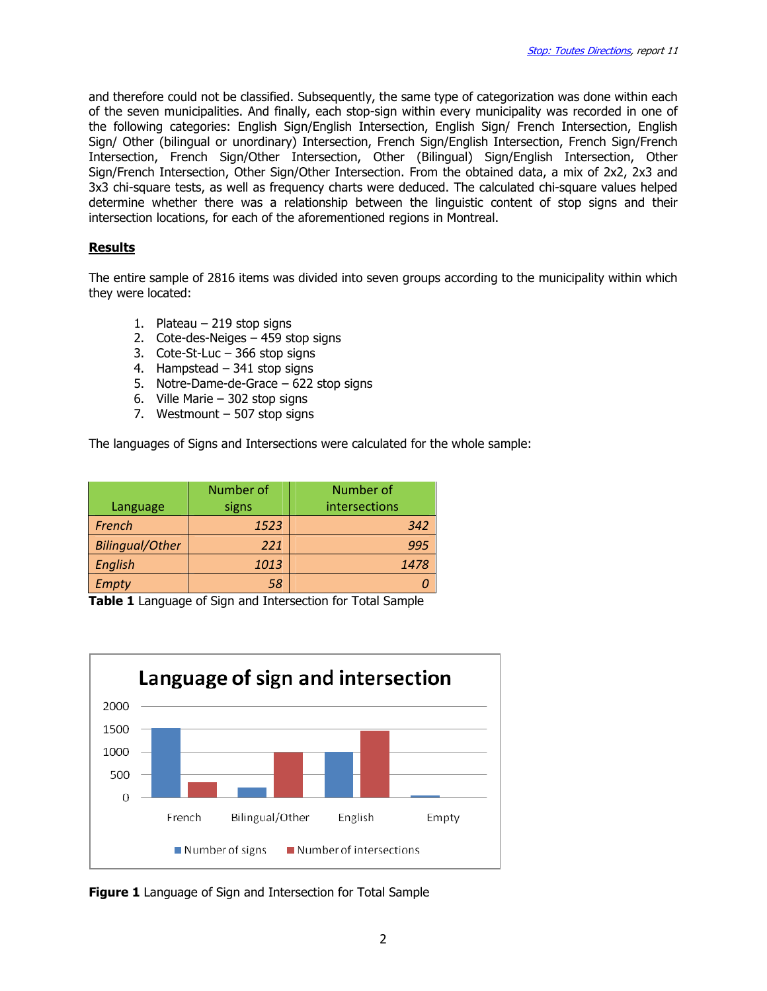and therefore could not be classified. Subsequently, the same type of categorization was done within each of the seven municipalities. And finally, each stop-sign within every municipality was recorded in one of the following categories: English Sign/English Intersection, English Sign/ French Intersection, English Sign/ Other (bilingual or unordinary) Intersection, French Sign/English Intersection, French Sign/French Intersection, French Sign/Other Intersection, Other (Bilingual) Sign/English Intersection, Other Sign/French Intersection, Other Sign/Other Intersection. From the obtained data, a mix of 2x2, 2x3 and 3x3 chi-square tests, as well as frequency charts were deduced. The calculated chi-square values helped determine whether there was a relationship between the linguistic content of stop signs and their intersection locations, for each of the aforementioned regions in Montreal.

### **Results**

The entire sample of 2816 items was divided into seven groups according to the municipality within which they were located:

- 1. Plateau 219 stop signs
- 2. Cote-des-Neiges 459 stop signs
- 3. Cote-St-Luc 366 stop signs
- 4. Hampstead 341 stop signs
- 5. Notre-Dame-de-Grace 622 stop signs
- 6. Ville Marie 302 stop signs
- 7. Westmount 507 stop signs

The languages of Signs and Intersections were calculated for the whole sample:

|                        | Number of | Number of     |
|------------------------|-----------|---------------|
| Language               | signs     | intersections |
| French                 | 1523      | 342           |
| <b>Bilingual/Other</b> | 221       | 995           |
| <b>English</b>         | 1013      | 1478          |
| <b>Empty</b>           | 58        |               |

Table 1 Language of Sign and Intersection for Total Sample



**Figure 1** Language of Sign and Intersection for Total Sample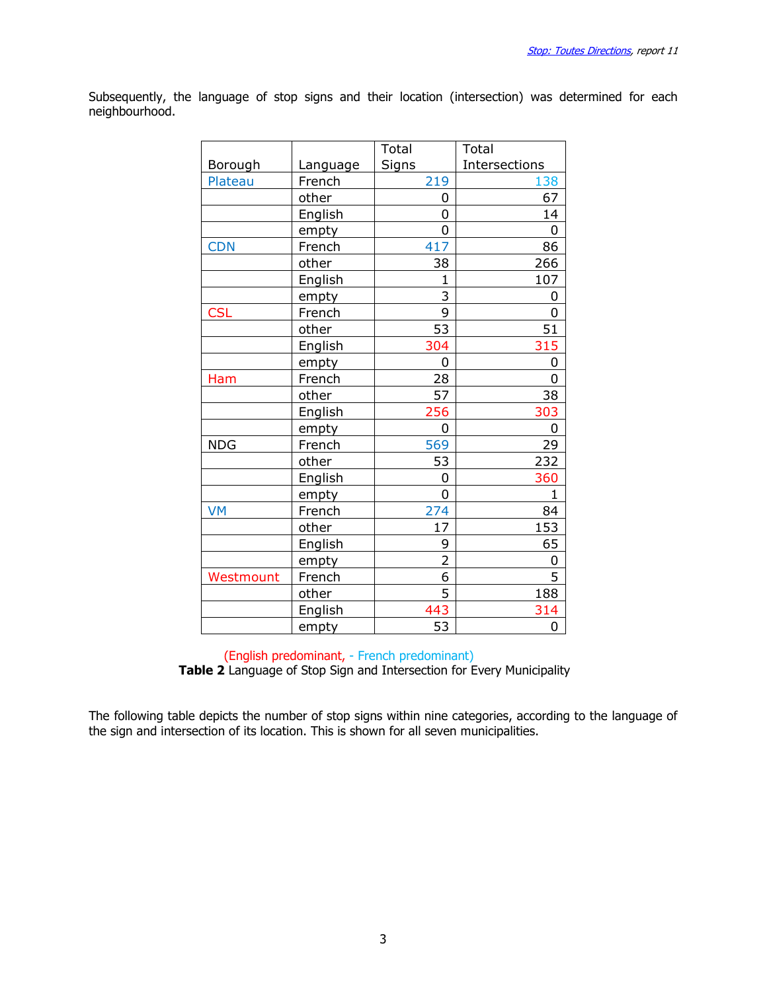Subsequently, the language of stop signs and their location (intersection) was determined for each neighbourhood.

|            |          | Total          | Total         |
|------------|----------|----------------|---------------|
| Borough    | Language | <b>Signs</b>   | Intersections |
| Plateau    | French   | 219            | 138           |
|            | other    | 0              | 67            |
|            | English  | 0              | 14            |
|            | empty    | 0              | 0             |
| <b>CDN</b> | French   | 417            | 86            |
|            | other    | 38             | 266           |
|            | English  | 1              | 107           |
|            | empty    | 3              | 0             |
| <b>CSL</b> | French   | 9              | 0             |
|            | other    | 53             | 51            |
|            | English  | 304            | 315           |
|            | empty    | 0              | 0             |
| Ham        | French   | 28             | 0             |
|            | other    | 57             | 38            |
|            | English  | 256            | 303           |
|            | empty    | 0              | 0             |
| <b>NDG</b> | French   | 569            | 29            |
|            | other    | 53             | 232           |
|            | English  | 0              | 360           |
|            | empty    | $\overline{0}$ | $\mathbf{1}$  |
| <b>VM</b>  | French   | 274            | 84            |
|            | other    | 17             | 153           |
|            | English  | 9              | 65            |
|            | empty    | $\overline{2}$ | 0             |
| Westmount  | French   | 6              | 5             |
|            | other    | 5              | 188           |
|            | English  | 443            | 314           |
|            | empty    | 53             | 0             |

#### (English predominant, - French predominant) Table 2 Language of Stop Sign and Intersection for Every Municipality

The following table depicts the number of stop signs within nine categories, according to the language of the sign and intersection of its location. This is shown for all seven municipalities.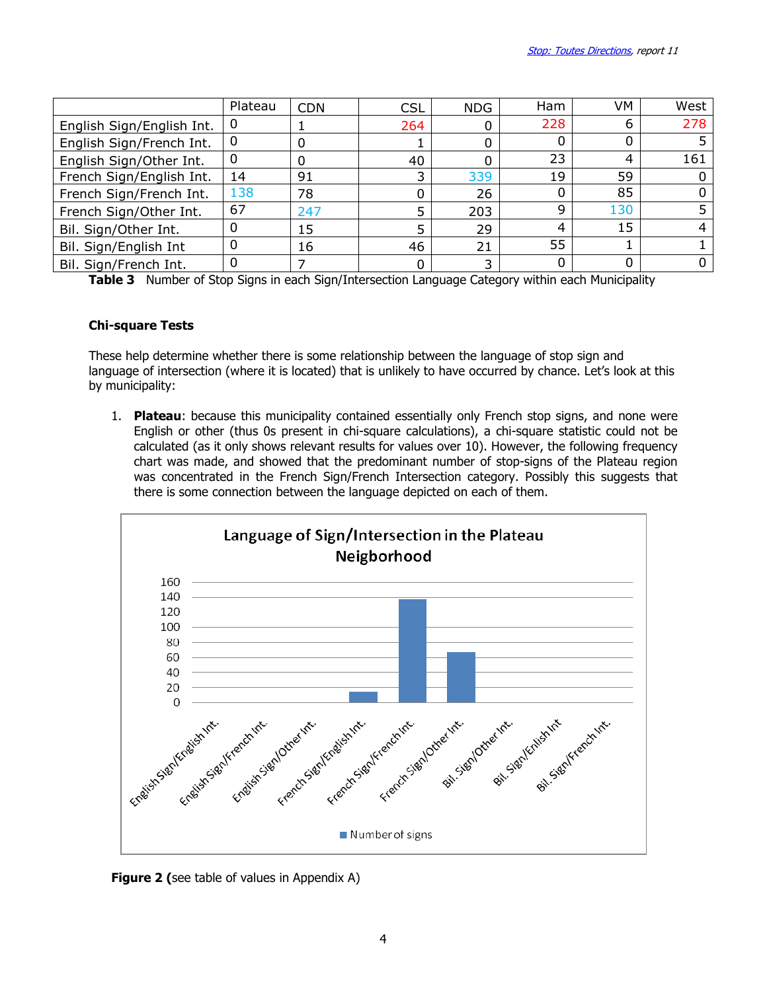|                           | Plateau | <b>CDN</b> | <b>CSL</b> | <b>NDG</b> | Ham | VM  | West |
|---------------------------|---------|------------|------------|------------|-----|-----|------|
| English Sign/English Int. | 0       |            | 264        |            | 228 | n   | 278  |
| English Sign/French Int.  | 0       | 0          |            |            |     |     |      |
| English Sign/Other Int.   | 0       | 0          | 40         |            | 23  |     | 161  |
| French Sign/English Int.  | 14      | 91         |            | 339        | 19  | 59  |      |
| French Sign/French Int.   | 138     | 78         |            | 26         |     | 85  |      |
| French Sign/Other Int.    | 67      | 247        |            | 203        | q   | 130 |      |
| Bil. Sign/Other Int.      | 0       | 15         |            | 29         | 4   | 15  |      |
| Bil. Sign/English Int     | 0       | 16         | 46         | 21         | 55  |     |      |
| Bil. Sign/French Int.     | 0       |            |            | ∍          |     |     |      |

**Table 3** Number of Stop Signs in each Sign/Intersection Language Category within each Municipality

### Chi-square Tests

These help determine whether there is some relationship between the language of stop sign and language of intersection (where it is located) that is unlikely to have occurred by chance. Let's look at this by municipality:

1. Plateau: because this municipality contained essentially only French stop signs, and none were English or other (thus 0s present in chi-square calculations), a chi-square statistic could not be calculated (as it only shows relevant results for values over 10). However, the following frequency chart was made, and showed that the predominant number of stop-signs of the Plateau region was concentrated in the French Sign/French Intersection category. Possibly this suggests that there is some connection between the language depicted on each of them.



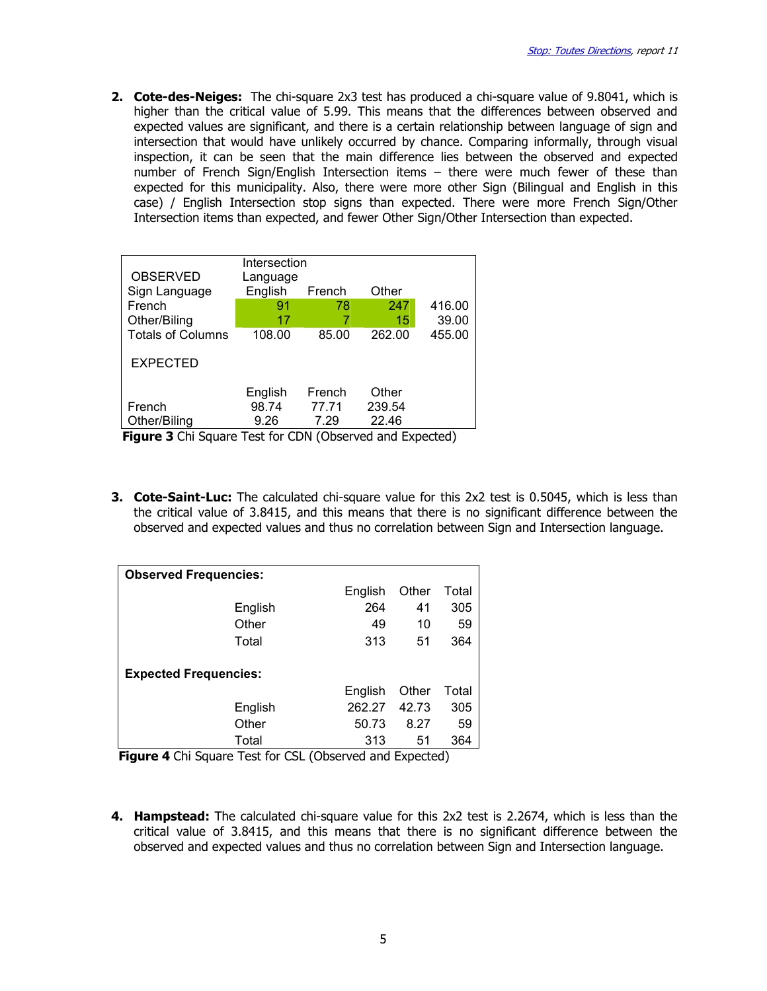2. Cote-des-Neiges: The chi-square 2x3 test has produced a chi-square value of 9.8041, which is higher than the critical value of 5.99. This means that the differences between observed and expected values are significant, and there is a certain relationship between language of sign and intersection that would have unlikely occurred by chance. Comparing informally, through visual inspection, it can be seen that the main difference lies between the observed and expected number of French Sign/English Intersection items - there were much fewer of these than expected for this municipality. Also, there were more other Sign (Bilingual and English in this case) / English Intersection stop signs than expected. There were more French Sign/Other Intersection items than expected, and fewer Other Sign/Other Intersection than expected.

| <b>OBSERVED</b>          | Intersection<br>Language |        |        |        |
|--------------------------|--------------------------|--------|--------|--------|
| Sign Language            | English                  | French | Other  |        |
| French                   | 91                       | 78     | 247    | 416.00 |
| Other/Biling             | 17                       |        | 15     | 39.00  |
| <b>Totals of Columns</b> | 108.00                   | 85.00  | 262.00 | 455.00 |
| <b>EXPECTED</b>          |                          |        |        |        |
|                          | English                  | French | Other  |        |
| French                   | 98.74                    | 77.71  | 239.54 |        |
| Other/Biling             | 9.26                     | 7.29   | 22.46  |        |

**Figure 3** Chi Square Test for CDN (Observed and Expected)

**3. Cote-Saint-Luc:** The calculated chi-square value for this 2x2 test is 0.5045, which is less than the critical value of 3.8415, and this means that there is no significant difference between the observed and expected values and thus no correlation between Sign and Intersection language.

| <b>Observed Frequencies:</b> |                        |     |         |       |       |  |
|------------------------------|------------------------|-----|---------|-------|-------|--|
|                              |                        |     | English | Other | Total |  |
|                              | English                |     | 264     | 41    | 305   |  |
|                              | Other                  |     | 49      | 10    | 59    |  |
|                              | Total                  |     | 313     | 51    | 364   |  |
| <b>Expected Frequencies:</b> |                        |     |         |       |       |  |
|                              |                        |     | English | Other | Total |  |
|                              | English                |     | 262.27  | 42.73 | 305   |  |
|                              | Other                  |     | 50.73   | 8.27  | 59    |  |
| --                           | Total<br>$\sim$ $\sim$ | --- | 313     | 51    | 364   |  |

Figure 4 Chi Square Test for CSL (Observed and Expected)

**4. Hampstead:** The calculated chi-square value for this 2x2 test is 2.2674, which is less than the critical value of 3.8415, and this means that there is no significant difference between the observed and expected values and thus no correlation between Sign and Intersection language.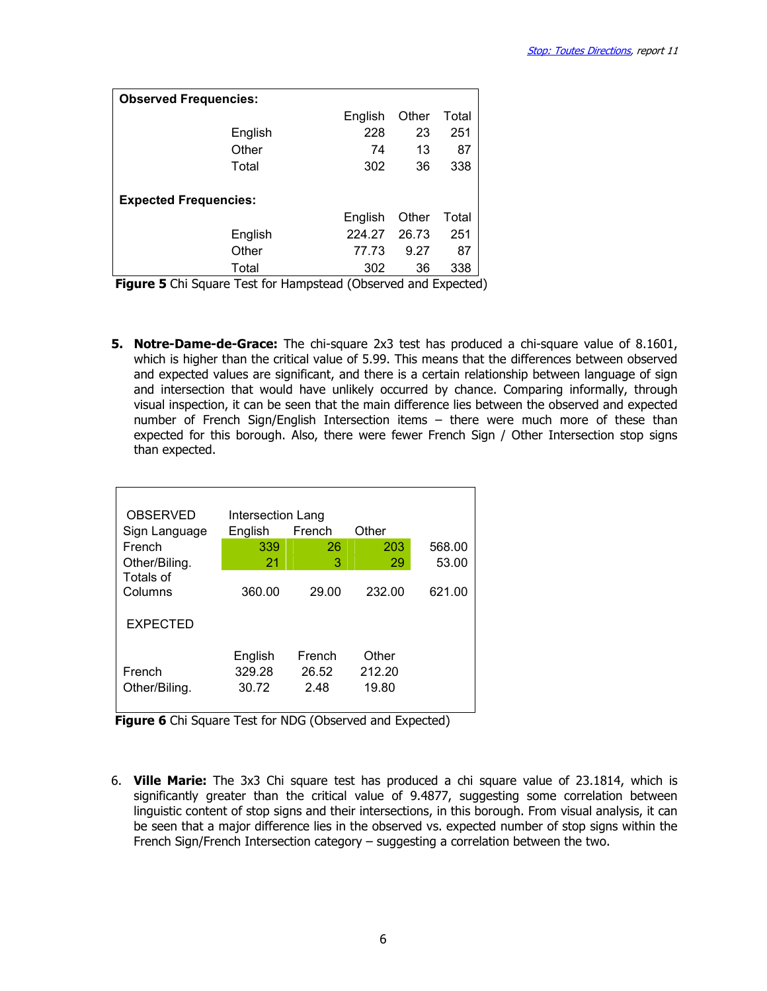| <b>Observed Frequencies:</b> |                              |         |       |       |  |  |  |
|------------------------------|------------------------------|---------|-------|-------|--|--|--|
|                              |                              | English | Other | Total |  |  |  |
|                              | English                      | 228     | 23    | 251   |  |  |  |
|                              | Other                        | 74      | 13    | 87    |  |  |  |
|                              | Total                        | 302     | 36    | 338   |  |  |  |
|                              | <b>Expected Frequencies:</b> |         |       |       |  |  |  |
|                              |                              | English | Other | Total |  |  |  |
|                              | English                      | 224.27  | 26.73 | 251   |  |  |  |
|                              | Other                        | 77.73   | 9.27  | 87    |  |  |  |
|                              | Total                        | 302     | 36    | 338   |  |  |  |

**Figure 5** Chi Square Test for Hampstead (Observed and Expected)

5. Notre-Dame-de-Grace: The chi-square 2x3 test has produced a chi-square value of 8.1601, which is higher than the critical value of 5.99. This means that the differences between observed and expected values are significant, and there is a certain relationship between language of sign and intersection that would have unlikely occurred by chance. Comparing informally, through visual inspection, it can be seen that the main difference lies between the observed and expected number of French Sign/English Intersection items – there were much more of these than expected for this borough. Also, there were fewer French Sign / Other Intersection stop signs than expected.

| <b>OBSERVED</b>             | Intersection Lang          |                         |                          |        |
|-----------------------------|----------------------------|-------------------------|--------------------------|--------|
| Sign Language               | English                    | French                  | Other                    |        |
| French                      | 339                        | 26                      | 203                      | 568.00 |
| Other/Biling.               | 21                         | 3                       | 29                       | 53.00  |
| <b>Totals of</b><br>Columns | 360.00                     | 29.00                   | 232.00                   | 621.00 |
| <b>EXPECTED</b>             |                            |                         |                          |        |
| French<br>Other/Biling.     | English<br>329.28<br>30.72 | French<br>26.52<br>2.48 | Other<br>212.20<br>19.80 |        |

Figure 6 Chi Square Test for NDG (Observed and Expected)

6. Ville Marie: The 3x3 Chi square test has produced a chi square value of 23.1814, which is significantly greater than the critical value of 9.4877, suggesting some correlation between linguistic content of stop signs and their intersections, in this borough. From visual analysis, it can be seen that a major difference lies in the observed vs. expected number of stop signs within the French Sign/French Intersection category – suggesting a correlation between the two.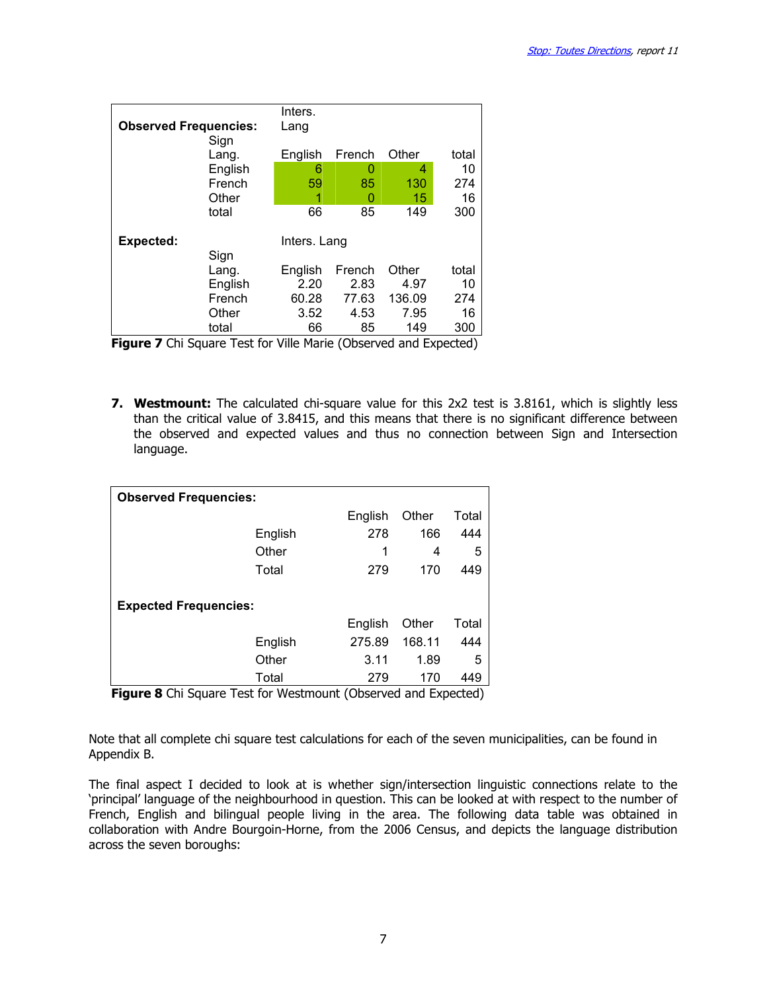|                              | Inters.      |        |        |       |
|------------------------------|--------------|--------|--------|-------|
| <b>Observed Frequencies:</b> | Lang         |        |        |       |
| Sign                         |              |        |        |       |
| Lang.                        | English      | French | Other  | total |
| English                      | 6            | 0      | 4      | 10    |
| French                       | 59           | 85     | 130    | 274   |
| Other                        | 1            | 0      | 15     | 16    |
| total                        | 66           | 85     | 149    | 300   |
|                              |              |        |        |       |
| <b>Expected:</b>             | Inters. Lang |        |        |       |
| Sign                         |              |        |        |       |
| Lang.                        | English      | French | Other  | total |
| English                      | 2.20         | 2.83   | 4.97   | 10    |
| French                       | 60.28        | 77.63  | 136.09 | 274   |
| Other                        | 3.52         | 4.53   | 7.95   | 16    |
| total                        | 66           | 85     | 149    | 300   |

Figure 7 Chi Square Test for Ville Marie (Observed and Expected)

**7. Westmount:** The calculated chi-square value for this 2x2 test is 3.8161, which is slightly less than the critical value of 3.8415, and this means that there is no significant difference between the observed and expected values and thus no connection between Sign and Intersection language.

| <b>Observed Frequencies:</b> |                              |         |        |       |  |  |  |
|------------------------------|------------------------------|---------|--------|-------|--|--|--|
|                              |                              | English | Other  | Total |  |  |  |
|                              | English                      | 278     | 166    | 444   |  |  |  |
|                              | Other                        | 1       | 4      | 5     |  |  |  |
|                              | Total                        | 279     | 170    | 449   |  |  |  |
|                              | <b>Expected Frequencies:</b> |         |        |       |  |  |  |
|                              |                              | English | Other  | Total |  |  |  |
|                              | English                      | 275.89  | 168.11 | 444   |  |  |  |
|                              | Other                        | 3.11    | 1.89   | 5     |  |  |  |
|                              | Total                        | 279     | 170    | 449   |  |  |  |

**Figure 8** Chi Square Test for Westmount (Observed and Expected)

Note that all complete chi square test calculations for each of the seven municipalities, can be found in Appendix B.

The final aspect I decided to look at is whether sign/intersection linguistic connections relate to the 'principal' language of the neighbourhood in question. This can be looked at with respect to the number of French, English and bilingual people living in the area. The following data table was obtained in collaboration with Andre Bourgoin-Horne, from the 2006 Census, and depicts the language distribution across the seven boroughs: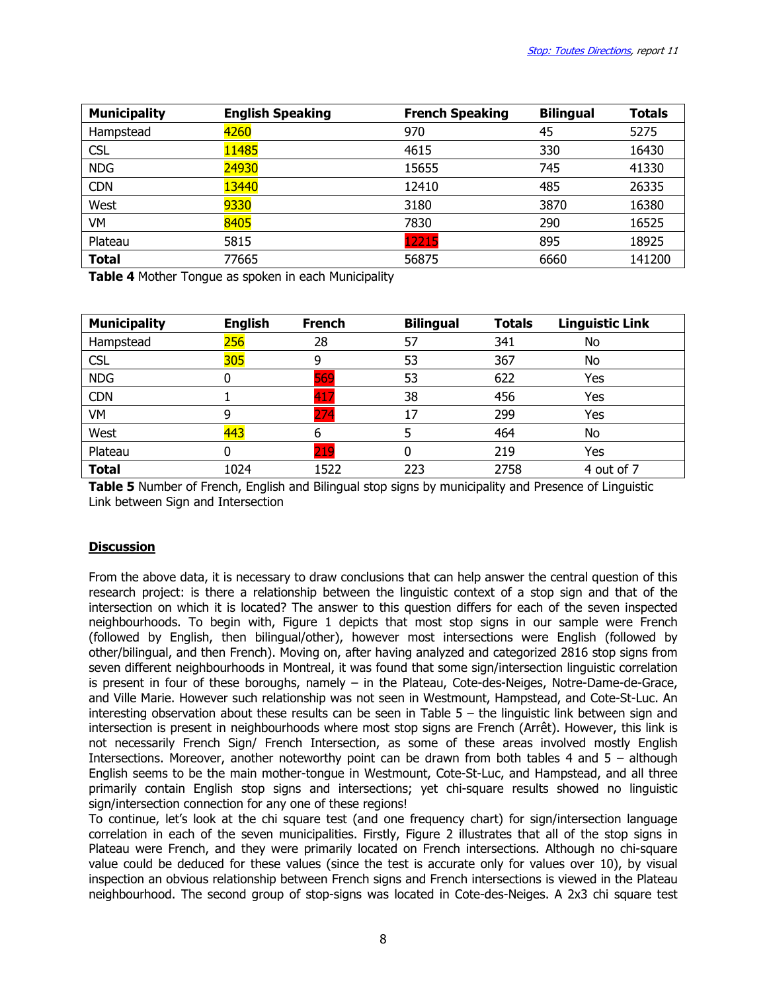| <b>Municipality</b> | <b>English Speaking</b> | <b>French Speaking</b> | <b>Bilingual</b> | <b>Totals</b> |
|---------------------|-------------------------|------------------------|------------------|---------------|
| Hampstead           | 4260                    | 970                    | 45               | 5275          |
| <b>CSL</b>          | 11485                   | 4615                   | 330              | 16430         |
| <b>NDG</b>          | 24930                   | 15655                  | 745              | 41330         |
| <b>CDN</b>          | 13440                   | 12410                  | 485              | 26335         |
| West                | 9330                    | 3180                   | 3870             | 16380         |
| VM                  | 8405                    | 7830                   | 290              | 16525         |
| Plateau             | 5815                    | 12215                  | 895              | 18925         |
| <b>Total</b>        | 77665                   | 56875                  | 6660             | 141200        |

Table 4 Mother Tonque as spoken in each Municipality

| <b>Municipality</b> | <b>English</b> | <b>French</b> | <b>Bilingual</b> | <b>Totals</b> | <b>Linguistic Link</b> |
|---------------------|----------------|---------------|------------------|---------------|------------------------|
| Hampstead           | 256            | 28            | 57               | 341           | No                     |
| <b>CSL</b>          | 305            | 9             | 53               | 367           | No                     |
| <b>NDG</b>          |                | 569           | 53               | 622           | Yes                    |
| <b>CDN</b>          |                | 417           | 38               | 456           | Yes                    |
| VM                  | 9              | 274           | 17               | 299           | Yes                    |
| West                | 443            | b             |                  | 464           | No                     |
| Plateau             |                | 219           | 0                | 219           | Yes                    |
| <b>Total</b>        | 1024           | 1522          | 223              | 2758          | 4 out of 7             |

**Table 5** Number of French, English and Bilingual stop signs by municipality and Presence of Linguistic Link between Sign and Intersection

### **Discussion**

From the above data, it is necessary to draw conclusions that can help answer the central question of this research project: is there a relationship between the linguistic context of a stop sign and that of the intersection on which it is located? The answer to this question differs for each of the seven inspected neighbourhoods. To begin with, Figure 1 depicts that most stop signs in our sample were French (followed by English, then bilingual/other), however most intersections were English (followed by other/bilingual, and then French). Moving on, after having analyzed and categorized 2816 stop signs from seven different neighbourhoods in Montreal, it was found that some sign/intersection linguistic correlation is present in four of these boroughs, namely – in the Plateau, Cote-des-Neiges, Notre-Dame-de-Grace, and Ville Marie. However such relationship was not seen in Westmount, Hampstead, and Cote-St-Luc. An interesting observation about these results can be seen in Table 5 – the linguistic link between sign and intersection is present in neighbourhoods where most stop signs are French (Arrêt). However, this link is not necessarily French Sign/ French Intersection, as some of these areas involved mostly English Intersections. Moreover, another noteworthy point can be drawn from both tables 4 and 5 – although English seems to be the main mother-tongue in Westmount, Cote-St-Luc, and Hampstead, and all three primarily contain English stop signs and intersections; yet chi-square results showed no linguistic sign/intersection connection for any one of these regions!

To continue, let's look at the chi square test (and one frequency chart) for sign/intersection language correlation in each of the seven municipalities. Firstly, Figure 2 illustrates that all of the stop signs in Plateau were French, and they were primarily located on French intersections. Although no chi-square value could be deduced for these values (since the test is accurate only for values over 10), by visual inspection an obvious relationship between French signs and French intersections is viewed in the Plateau neighbourhood. The second group of stop-signs was located in Cote-des-Neiges. A 2x3 chi square test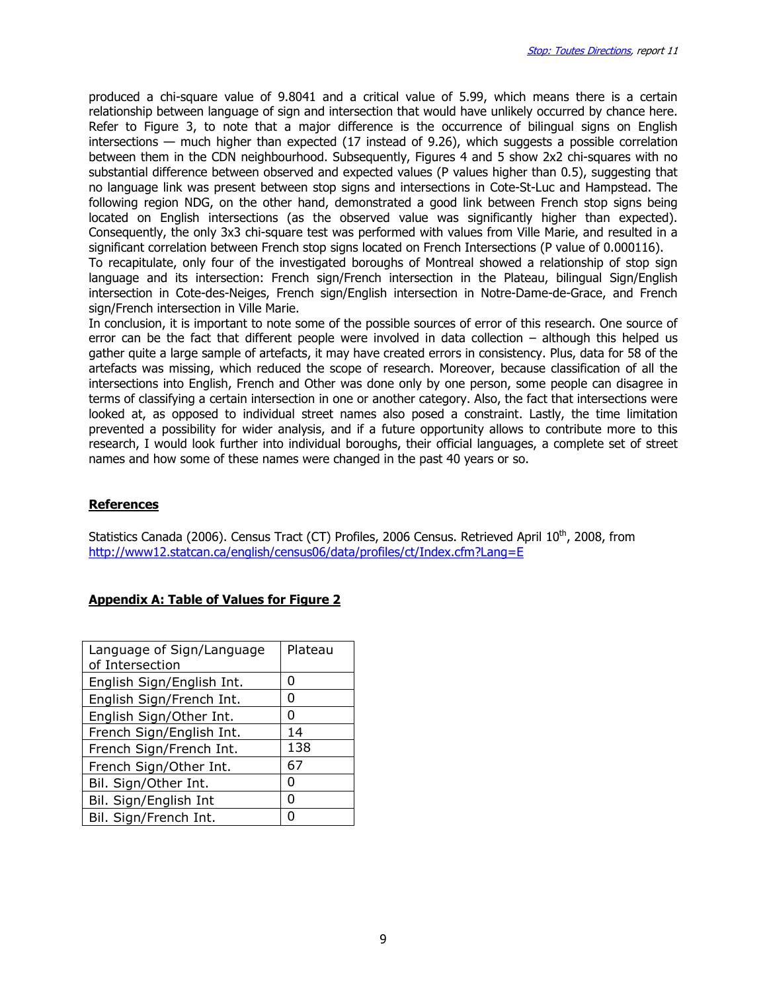produced a chi-square value of 9.8041 and a critical value of 5.99, which means there is a certain relationship between language of sign and intersection that would have unlikely occurred by chance here. Refer to Figure 3, to note that a major difference is the occurrence of bilingual signs on English intersections — much higher than expected (17 instead of 9.26), which suggests a possible correlation between them in the CDN neighbourhood. Subsequently, Figures 4 and 5 show 2x2 chi-squares with no substantial difference between observed and expected values (P values higher than 0.5), suggesting that no language link was present between stop signs and intersections in Cote-St-Luc and Hampstead. The following region NDG, on the other hand, demonstrated a good link between French stop signs being located on English intersections (as the observed value was significantly higher than expected). Consequently, the only 3x3 chi-square test was performed with values from Ville Marie, and resulted in a significant correlation between French stop signs located on French Intersections (P value of 0.000116). To recapitulate, only four of the investigated boroughs of Montreal showed a relationship of stop sign language and its intersection: French sign/French intersection in the Plateau, bilingual Sign/English intersection in Cote-des-Neiges, French sign/English intersection in Notre-Dame-de-Grace, and French

sign/French intersection in Ville Marie. In conclusion, it is important to note some of the possible sources of error of this research. One source of error can be the fact that different people were involved in data collection – although this helped us gather quite a large sample of artefacts, it may have created errors in consistency. Plus, data for 58 of the artefacts was missing, which reduced the scope of research. Moreover, because classification of all the intersections into English, French and Other was done only by one person, some people can disagree in terms of classifying a certain intersection in one or another category. Also, the fact that intersections were looked at, as opposed to individual street names also posed a constraint. Lastly, the time limitation prevented a possibility for wider analysis, and if a future opportunity allows to contribute more to this research, I would look further into individual boroughs, their official languages, a complete set of street names and how some of these names were changed in the past 40 years or so.

#### References

Statistics Canada (2006). Census Tract (CT) Profiles, 2006 Census. Retrieved April 10<sup>th</sup>, 2008, from http://www12.statcan.ca/english/census06/data/profiles/ct/Index.cfm?Lang=E

#### Appendix A: Table of Values for Figure 2

| Language of Sign/Language<br>of Intersection | Plateau |
|----------------------------------------------|---------|
| English Sign/English Int.                    | O       |
| English Sign/French Int.                     | O       |
| English Sign/Other Int.                      | O       |
| French Sign/English Int.                     | 14      |
| French Sign/French Int.                      | 138     |
| French Sign/Other Int.                       | 67      |
| Bil. Sign/Other Int.                         | O       |
| Bil. Sign/English Int                        | O       |
| Bil. Sign/French Int.                        |         |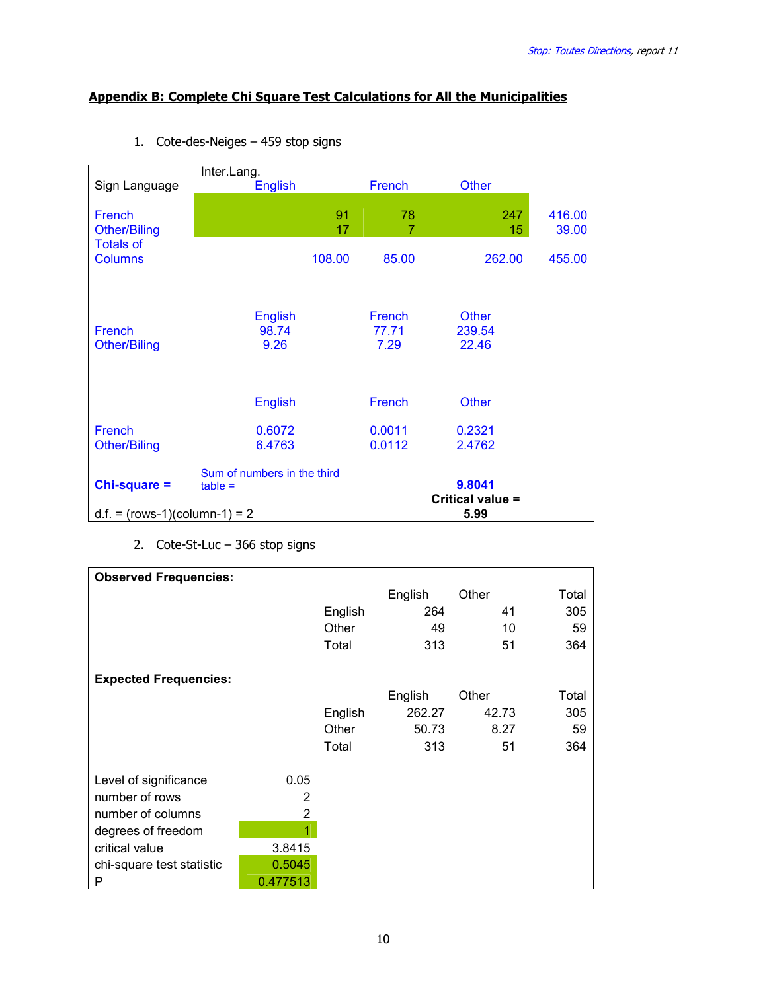# Appendix B: Complete Chi Square Test Calculations for All the Municipalities

| Sign Language                        | Inter.Lang.<br><b>English</b>            |          | French                  | <b>Other</b>                    |                 |
|--------------------------------------|------------------------------------------|----------|-------------------------|---------------------------------|-----------------|
| French<br><b>Other/Biling</b>        |                                          | 91<br>17 | 78<br>7                 | 247<br>15                       | 416.00<br>39.00 |
| <b>Totals of</b><br><b>Columns</b>   |                                          | 108.00   | 85.00                   | 262.00                          | 455.00          |
| <b>French</b><br><b>Other/Biling</b> | <b>English</b><br>98.74<br>9.26          |          | French<br>77.71<br>7.29 | <b>Other</b><br>239.54<br>22.46 |                 |
|                                      | <b>English</b>                           |          | French                  | <b>Other</b>                    |                 |
| French<br><b>Other/Biling</b>        | 0.6072<br>6.4763                         |          | 0.0011<br>0.0112        | 0.2321<br>2.4762                |                 |
| $Chi-square =$                       | Sum of numbers in the third<br>$table =$ |          |                         | 9.8041                          |                 |
| $d.f. = (rows-1)(column-1) = 2$      |                                          |          |                         | Critical value =<br>5.99        |                 |

1. Cote-des-Neiges – 459 stop signs

2. Cote-St-Luc – 366 stop signs

| <b>Observed Frequencies:</b> |          |         |         |       |       |
|------------------------------|----------|---------|---------|-------|-------|
|                              |          |         | English | Other | Total |
|                              |          | English | 264     | 41    | 305   |
|                              |          | Other   | 49      | 10    | 59    |
|                              |          | Total   | 313     | 51    | 364   |
|                              |          |         |         |       |       |
| <b>Expected Frequencies:</b> |          |         |         |       |       |
|                              |          |         | English | Other | Total |
|                              |          | English | 262.27  | 42.73 | 305   |
|                              |          | Other   | 50.73   | 8.27  | 59    |
|                              |          | Total   | 313     | 51    | 364   |
|                              |          |         |         |       |       |
| Level of significance        | 0.05     |         |         |       |       |
| number of rows               | 2        |         |         |       |       |
| number of columns            | 2        |         |         |       |       |
| degrees of freedom           | 1        |         |         |       |       |
| critical value               | 3.8415   |         |         |       |       |
| chi-square test statistic    | 0.5045   |         |         |       |       |
| P                            | 0.477513 |         |         |       |       |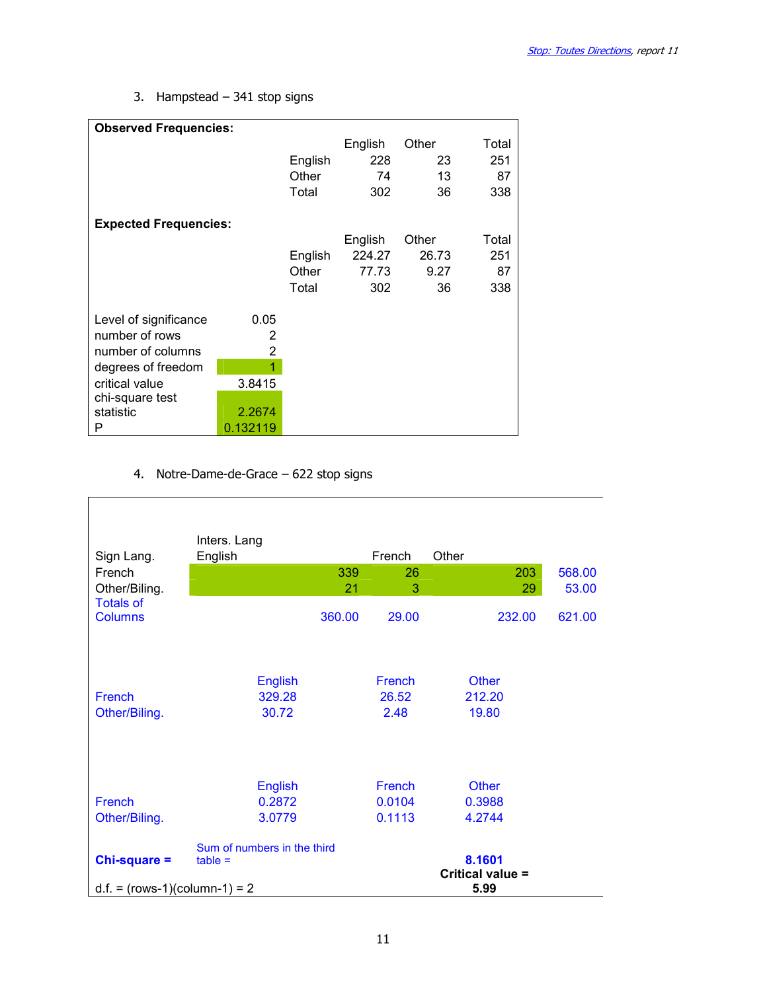3. Hampstead – 341 stop signs

| <b>Observed Frequencies:</b> |          |         |         |       |       |
|------------------------------|----------|---------|---------|-------|-------|
|                              |          |         | English | Other | Total |
|                              |          | English | 228     | 23    | 251   |
|                              |          | Other   | 74      | 13    | 87    |
|                              |          | Total   | 302     | 36    | 338   |
|                              |          |         |         |       |       |
| <b>Expected Frequencies:</b> |          |         |         |       |       |
|                              |          |         | English | Other | Total |
|                              |          | English | 224.27  | 26.73 | 251   |
|                              |          | Other   | 77.73   | 9.27  | 87    |
|                              |          | Total   | 302     | 36    | 338   |
|                              |          |         |         |       |       |
| Level of significance        | 0.05     |         |         |       |       |
| number of rows               | 2        |         |         |       |       |
| number of columns            | 2        |         |         |       |       |
| degrees of freedom           | 1        |         |         |       |       |
| critical value               | 3.8415   |         |         |       |       |
| chi-square test              |          |         |         |       |       |
| statistic                    | 2.2674   |         |         |       |       |
| Р                            | 0.132119 |         |         |       |       |

# 4. Notre-Dame-de-Grace – 622 stop signs

| Sign Lang.<br>French<br>Other/Biling.<br><b>Totals of</b> | Inters. Lang<br>English<br>339<br>21     | French<br>26<br>3       | Other<br>203<br>29                 | 568.00<br>53.00 |
|-----------------------------------------------------------|------------------------------------------|-------------------------|------------------------------------|-----------------|
| <b>Columns</b>                                            | 360.00                                   | 29.00                   | 232.00                             | 621.00          |
| French<br>Other/Biling.                                   | <b>English</b><br>329.28<br>30.72        | French<br>26.52<br>2.48 | <b>Other</b><br>212.20<br>19.80    |                 |
|                                                           | <b>English</b>                           | French                  | <b>Other</b>                       |                 |
| French<br>Other/Biling.                                   | 0.2872<br>3.0779                         | 0.0104<br>0.1113        | 0.3988<br>4.2744                   |                 |
|                                                           |                                          |                         |                                    |                 |
| Chi-square =<br>$d.f. = (rows-1)(column-1) = 2$           | Sum of numbers in the third<br>$table =$ |                         | 8.1601<br>Critical value =<br>5.99 |                 |